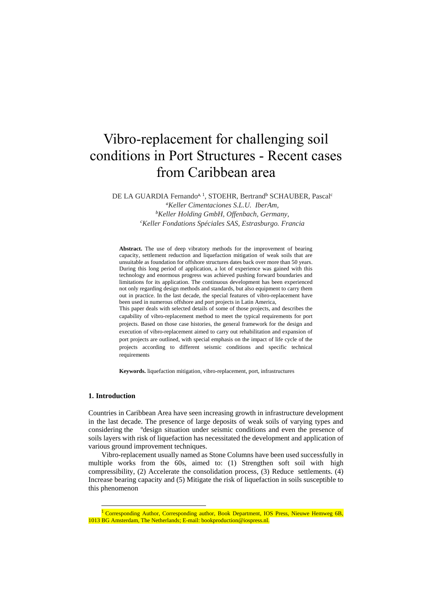# Vibro-replacement for challenging soil conditions in Port Structures - Recent cases from Caribbean area

DE LA GUARDIA Fernando<sup>a, 1</sup>, STOEHR, Bertrand<sup>b</sup> SCHAUBER, Pascal<sup>c</sup>

*<sup>a</sup>Keller Cimentaciones S.L.U. IberAm, <sup>b</sup>Keller Holding GmbH, Offenbach, Germany, <sup>c</sup>Keller Fondations Spéciales SAS, Estrasburgo. Francia*

**Abstract.** The use of deep vibratory methods for the improvement of bearing capacity, settlement reduction and liquefaction mitigation of weak soils that are unsuitable as foundation for offshore structures dates back over more than 50 years. During this long period of application, a lot of experience was gained with this technology and enormous progress was achieved pushing forward boundaries and limitations for its application. The continuous development has been experienced not only regarding design methods and standards, but also equipment to carry them out in practice. In the last decade, the special features of vibro-replacement have been used in numerous offshore and port projects in Latin America, This paper deals with selected details of some of those projects, and describes the capability of vibro-replacement method to meet the typical requirements for port projects. Based on those case histories, the general framework for the design and execution of vibro-replacement aimed to carry out rehabilitation and expansion of port projects are outlined, with special emphasis on the impact of life cycle of the projects according to different seismic conditions and specific technical requirements

**Keywords.** liquefaction mitigation, vibro-replacement, port, infrastructures

## **1. Introduction**

l

Countries in Caribbean Area have seen increasing growth in infrastructure development in the last decade. The presence of large deposits of weak soils of varying types and considering the ºdesign situation under seismic conditions and even the presence of soils layers with risk of liquefaction has necessitated the development and application of various ground improvement techniques.

Vibro-replacement usually named as Stone Columns have been used successfully in multiple works from the 60s, aimed to: (1) Strengthen soft soil with high compressibility, (2) Accelerate the consolidation process, (3) Reduce settlements. (4) Increase bearing capacity and (5) Mitigate the risk of liquefaction in soils susceptible to this phenomenon

<sup>&</sup>lt;sup>1</sup> Corresponding Author, Corresponding author, Book Department, IOS Press, Nieuwe Hemweg 6B, 1013 BG Amsterdam, The Netherlands; E-mail: bookproduction@iospress.nl.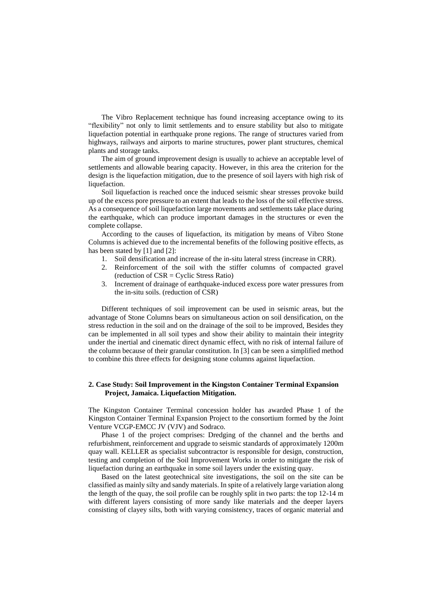The Vibro Replacement technique has found increasing acceptance owing to its "flexibility" not only to limit settlements and to ensure stability but also to mitigate liquefaction potential in earthquake prone regions. The range of structures varied from highways, railways and airports to marine structures, power plant structures, chemical plants and storage tanks.

The aim of ground improvement design is usually to achieve an acceptable level of settlements and allowable bearing capacity. However, in this area the criterion for the design is the liquefaction mitigation, due to the presence of soil layers with high risk of liquefaction.

Soil liquefaction is reached once the induced seismic shear stresses provoke build up of the excess pore pressure to an extent that leads to the loss of the soil effective stress. As a consequence of soil liquefaction large movements and settlements take place during the earthquake, which can produce important damages in the structures or even the complete collapse.

According to the causes of liquefaction, its mitigation by means of Vibro Stone Columns is achieved due to the incremental benefits of the following positive effects, as has been stated by [1] and [2]:

- 1. Soil densification and increase of the in-situ lateral stress (increase in CRR).
- 2. Reinforcement of the soil with the stiffer columns of compacted gravel (reduction of CSR = Cyclic Stress Ratio)
- 3. Increment of drainage of earthquake-induced excess pore water pressures from the in-situ soils. (reduction of CSR)

Different techniques of soil improvement can be used in seismic areas, but the advantage of Stone Columns bears on simultaneous action on soil densification, on the stress reduction in the soil and on the drainage of the soil to be improved, Besides they can be implemented in all soil types and show their ability to maintain their integrity under the inertial and cinematic direct dynamic effect, with no risk of internal failure of the column because of their granular constitution. In [3] can be seen a simplified method to combine this three effects for designing stone columns against liquefaction.

## **2. Case Study: Soil Improvement in the Kingston Container Terminal Expansion Project, Jamaica. Liquefaction Mitigation.**

The Kingston Container Terminal concession holder has awarded Phase 1 of the Kingston Container Terminal Expansion Project to the consortium formed by the Joint Venture VCGP-EMCC JV (VJV) and Sodraco.

Phase 1 of the project comprises: Dredging of the channel and the berths and refurbishment, reinforcement and upgrade to seismic standards of approximately 1200m quay wall. KELLER as specialist subcontractor is responsible for design, construction, testing and completion of the Soil Improvement Works in order to mitigate the risk of liquefaction during an earthquake in some soil layers under the existing quay.

Based on the latest geotechnical site investigations, the soil on the site can be classified as mainly silty and sandy materials. In spite of a relatively large variation along the length of the quay, the soil profile can be roughly split in two parts: the top 12-14 m with different layers consisting of more sandy like materials and the deeper layers consisting of clayey silts, both with varying consistency, traces of organic material and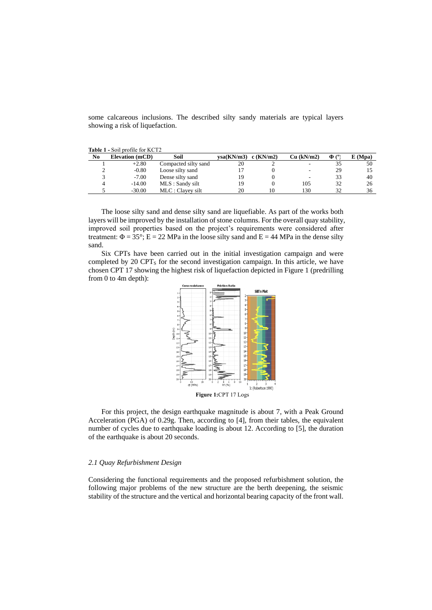some calcareous inclusions. The described silty sandy materials are typical layers showing a risk of liquefaction.

| <b>Table 1 - Soil profile for KCT2</b> |                        |                      |            |             |            |            |         |  |  |
|----------------------------------------|------------------------|----------------------|------------|-------------|------------|------------|---------|--|--|
| No                                     | <b>Elevation</b> (mCD) | Soil                 | vsa(KN/m3) | $c$ (KN/m2) | Cu (kN/m2) | $\Phi$ (°) | E (Mpa) |  |  |
|                                        | $+2.80$                | Compacted silty sand | 20         |             | -          |            | 50      |  |  |
|                                        | $-0.80$                | Loose silty sand     |            |             | ٠.         | 29         |         |  |  |
|                                        | $-7.00$                | Dense silty sand     | 19         |             | ٠.         | 33         | 40      |  |  |
|                                        | $-14.00$               | MLS : Sandy silt     | 19         |             | 105        | 32         | 26      |  |  |

-30.00 MLC : Clayey silt 20 10 130 32 36

The loose silty sand and dense silty sand are liquefiable. As part of the works both layers will be improved by the installation of stone columns. For the overall quay stability, improved soil properties based on the project's requirements were considered after treatment:  $\Phi = 35^{\circ}$ ; E = 22 MPa in the loose silty sand and E = 44 MPa in the dense silty sand.

Six CPTs have been carried out in the initial investigation campaign and were completed by 20 CPT<sup>S</sup> for the second investigation campaign. In this article, we have chosen CPT 17 showing the highest risk of liquefaction depicted in Figure 1 (predrilling from 0 to 4m depth):



For this project, the design earthquake magnitude is about 7, with a Peak Ground Acceleration (PGA) of 0.29g. Then, according to [4], from their tables, the equivalent number of cycles due to earthquake loading is about 12. According to [5], the duration of the earthquake is about 20 seconds.

## *2.1 Quay Refurbishment Design*

Considering the functional requirements and the proposed refurbishment solution, the following major problems of the new structure are the berth deepening, the seismic stability of the structure and the vertical and horizontal bearing capacity of the front wall.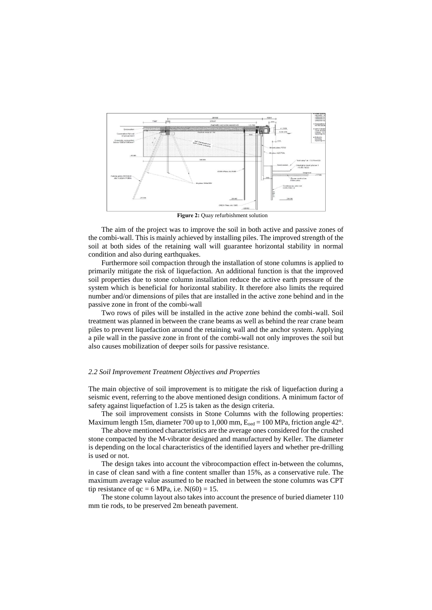

**Figure 2:** Quay refurbishment solution

The aim of the project was to improve the soil in both active and passive zones of the combi-wall. This is mainly achieved by installing piles. The improved strength of the soil at both sides of the retaining wall will guarantee horizontal stability in normal condition and also during earthquakes.

Furthermore soil compaction through the installation of stone columns is applied to primarily mitigate the risk of liquefaction. An additional function is that the improved soil properties due to stone column installation reduce the active earth pressure of the system which is beneficial for horizontal stability. It therefore also limits the required number and/or dimensions of piles that are installed in the active zone behind and in the passive zone in front of the combi-wall

Two rows of piles will be installed in the active zone behind the combi-wall. Soil treatment was planned in between the crane beams as well as behind the rear crane beam piles to prevent liquefaction around the retaining wall and the anchor system. Applying a pile wall in the passive zone in front of the combi-wall not only improves the soil but also causes mobilization of deeper soils for passive resistance.

#### *2.2 Soil Improvement Treatment Objectives and Properties*

The main objective of soil improvement is to mitigate the risk of liquefaction during a seismic event, referring to the above mentioned design conditions. A minimum factor of safety against liquefaction of 1.25 is taken as the design criteria.

The soil improvement consists in Stone Columns with the following properties: Maximum length 15m, diameter 700 up to 1,000 mm,  $E_{\text{oed}} = 100 \text{ MPa}$ , friction angle 42°.

The above mentioned characteristics are the average ones considered for the crushed stone compacted by the M-vibrator designed and manufactured by Keller. The diameter is depending on the local characteristics of the identified layers and whether pre-drilling is used or not.

The design takes into account the vibrocompaction effect in-between the columns, in case of clean sand with a fine content smaller than 15%, as a conservative rule. The maximum average value assumed to be reached in between the stone columns was CPT tip resistance of  $qc = 6$  MPa, i.e.  $N(60) = 15$ .

The stone column layout also takes into account the presence of buried diameter 110 mm tie rods, to be preserved 2m beneath pavement.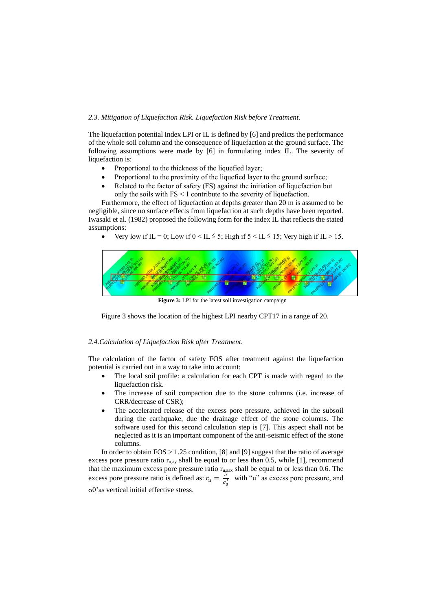## *2.3. Mitigation of Liquefaction Risk. Liquefaction Risk before Treatment.*

The liquefaction potential Index LPI or IL is defined by [6] and predicts the performance of the whole soil column and the consequence of liquefaction at the ground surface. The following assumptions were made by [6] in formulating index IL. The severity of liquefaction is:

- Proportional to the thickness of the liquefied layer;
- Proportional to the proximity of the liquefied layer to the ground surface;
- Related to the factor of safety (FS) against the initiation of liquefaction but only the soils with FS < 1 contribute to the severity of liquefaction.

Furthermore, the effect of liquefaction at depths greater than 20 m is assumed to be negligible, since no surface effects from liquefaction at such depths have been reported. Iwasaki et al. (1982) proposed the following form for the index IL that reflects the stated assumptions:

Very low if IL = 0; Low if  $0 < I$   $\leq 5$ ; High if  $5 < I$   $\leq 15$ ; Very high if IL > 15.



**Figure 3:** LPI for the latest soil investigation campaign

Figure 3 shows the location of the highest LPI nearby CPT17 in a range of 20.

## *2.4.Calculation of Liquefaction Risk after Treatment*.

The calculation of the factor of safety FOS after treatment against the liquefaction potential is carried out in a way to take into account:

- The local soil profile: a calculation for each CPT is made with regard to the liquefaction risk.
- The increase of soil compaction due to the stone columns (i.e. increase of CRR/decrease of CSR);
- The accelerated release of the excess pore pressure, achieved in the subsoil during the earthquake, due the drainage effect of the stone columns. The software used for this second calculation step is [7]. This aspect shall not be neglected as it is an important component of the anti-seismic effect of the stone columns.

In order to obtain  $FOS > 1.25$  condition, [8] and [9] suggest that the ratio of average excess pore pressure ratio  $r_{u,ay}$  shall be equal to or less than 0.5, while [1], recommend that the maximum excess pore pressure ratio  $r_{u, a a x}$  shall be equal to or less than 0.6. The excess pore pressure ratio is defined as:  $r_u = \frac{u}{\sigma}$  $\frac{u}{\sigma_0'}$  with "u" as excess pore pressure, and σ0'as vertical initial effective stress.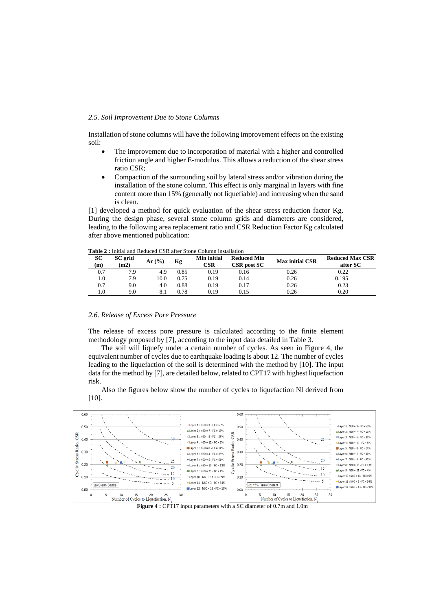#### *2.5. Soil Improvement Due to Stone Columns*

Installation of stone columns will have the following improvement effects on the existing soil:

- The improvement due to incorporation of material with a higher and controlled friction angle and higher E-modulus. This allows a reduction of the shear stress ratio CSR;
- Compaction of the surrounding soil by lateral stress and/or vibration during the installation of the stone column. This effect is only marginal in layers with fine content more than 15% (generally not liquefiable) and increasing when the sand is clean.

[1] developed a method for quick evaluation of the shear stress reduction factor Kg. During the design phase, several stone column grids and diameters are considered, leading to the following area replacement ratio and CSR Reduction Factor Kg calculated after above mentioned publication:

| <b>THUR T</b> I must and iterated CDIX and Divile Condition moderate |           |                 |       |      |                                                                |      |                        |                                    |  |  |
|----------------------------------------------------------------------|-----------|-----------------|-------|------|----------------------------------------------------------------|------|------------------------|------------------------------------|--|--|
|                                                                      | SС<br>(m) | SC grid<br>(m2) | Ar(%) | Кg   | <b>Min initial</b><br><b>Reduced Min</b><br>CSR<br>CSR post SC |      | <b>Max initial CSR</b> | <b>Reduced Max CSR</b><br>after SC |  |  |
|                                                                      | 0.7       | 7.9             | 4.9   | 0.85 | 0.19                                                           | 0.16 | 0.26                   | 0.22                               |  |  |
|                                                                      | l.O       | 7.9             | 10.0  | 0.75 | 0.19                                                           | 0.14 | 0.26                   | 0.195                              |  |  |
|                                                                      | 0.7       | 9.0             | 4.0   | 0.88 | 0.19                                                           | 0.17 | 0.26                   | 0.23                               |  |  |
|                                                                      | 1.0       | 9.0             |       | 0.78 | 0.19                                                           | 0.15 | 0.26                   | 0.20                               |  |  |

**Table 2 :** Initial and Reduced CSR after Stone Column installation

#### *2.6. Release of Excess Pore Pressure*

The release of excess pore pressure is calculated according to the finite element methodology proposed by [7], according to the input data detailed in Table 3.

The soil will liquefy under a certain number of cycles. As seen in Figure 4, the equivalent number of cycles due to earthquake loading is about 12. The number of cycles leading to the liquefaction of the soil is determined with the method by [10]. The input data for the method by [7], are detailed below, related to CPT17 with highest liquefaction risk.

Also the figures below show the number of cycles to liquefaction Nl derived from  $[10]$ .



**Figure 4 :** CPT17 input parameters with a SC diameter of 0.7m and 1.0m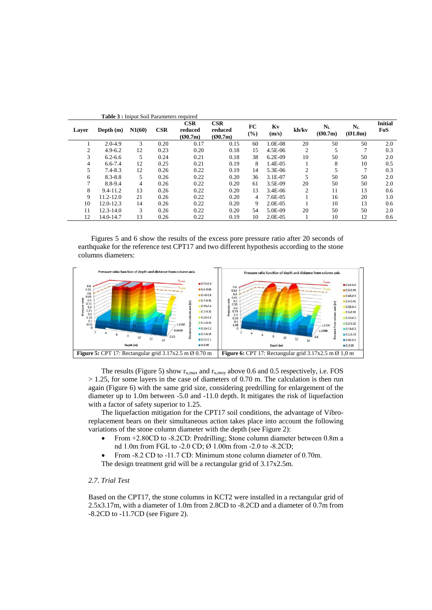| <b>Table 3:</b> Iniput Soil Parameters required |               |        |      |                           |                           |                |             |                |                    |                        |                       |
|-------------------------------------------------|---------------|--------|------|---------------------------|---------------------------|----------------|-------------|----------------|--------------------|------------------------|-----------------------|
| Layer                                           | Depth $(m)$   | N1(60) | CSR  | CSR<br>reduced<br>(00.7m) | CSR<br>reduced<br>(00.7m) | FC<br>(%)      | Kv<br>(m/s) | kh/kv          | $N_{L}$<br>(Q0.7m) | $N_{\rm L}$<br>(Q1.0m) | <b>Initial</b><br>FoS |
|                                                 | $2.0 - 4.9$   | 3      | 0.20 | 0.17                      | 0.15                      | 60             | 1.0E-08     | 20             | 50                 | 50                     | 2.0                   |
| 2                                               | $4.9 - 6.2$   | 12     | 0.23 | 0.20                      | 0.18                      | 15             | 4.5E-06     | 2              |                    |                        | 0.3                   |
| 3                                               | $6.2 - 6.6$   | 5      | 0.24 | 0.21                      | 0.18                      | 38             | $6.2E-09$   | 10             | 50                 | 50                     | 2.0                   |
| 4                                               | $6.6 - 7.4$   | 12     | 0.25 | 0.21                      | 0.19                      | 8              | 1.4E-05     |                | 8                  | 10                     | 0.5                   |
| 5                                               | $7.4 - 8.3$   | 12     | 0.26 | 0.22                      | 0.19                      | 14             | 5.3E-06     | $\overline{2}$ |                    | 7                      | 0.3                   |
| 6                                               | $8.3 - 8.8$   | 5      | 0.26 | 0.22                      | 0.20                      | 36             | 3.1E-07     | 5              | 50                 | 50                     | 2.0                   |
|                                                 | 8.8-9.4       | 4      | 0.26 | 0.22                      | 0.20                      | 61             | 3.5E-09     | 20             | 50                 | 50                     | 2.0                   |
| 8                                               | $9.4 - 11.2$  | 13     | 0.26 | 0.22                      | 0.20                      | 13             | 3.4E-06     | $\overline{2}$ | 11                 | 13                     | 0.6                   |
| 9                                               | $11.2 - 12.0$ | 21     | 0.26 | 0.22                      | 0.20                      | $\overline{4}$ | 7.6E-05     |                | 16                 | 20                     | 1.0                   |
| 10                                              | $12.0 - 12.3$ | 14     | 0.26 | 0.22                      | 0.20                      | 9              | 2.0E-05     |                | 10                 | 13                     | 0.6                   |
| 11                                              | $12.3 - 14.0$ | 3      | 0.26 | 0.22                      | 0.20                      | 54             | 5.0E-09     | 20             | 50                 | 50                     | 2.0                   |
| 12                                              | 14.0-14.7     | 13     | 0.26 | 0.22                      | 0.19                      | 10             | 2.0E-05     |                | 10                 | 12                     | 0.6                   |

Figures 5 and 6 show the results of the excess pore pressure ratio after 20 seconds of earthquake for the reference test CPT17 and two different hypothesis according to the stone columns diameters:



The results (Figure 5) show  $r_{u,max}$  and  $r_{u,mov}$  above 0.6 and 0.5 respectively, i.e. FOS  $> 1.25$ , for some layers in the case of diameters of 0.70 m. The calculation is then run again (Figure 6) with the same grid size, considering predrilling for enlargement of the diameter up to 1.0m between -5.0 and -11.0 depth. It mitigates the risk of liquefaction with a factor of safety superior to 1.25.

The liquefaction mitigation for the CPT17 soil conditions, the advantage of Vibroreplacement bears on their simultaneous action takes place into account the following variations of the stone column diameter with the depth (see Figure 2):

- From +2.80CD to -8.2CD: Predrilling; Stone column diameter between 0.8m a nd 1.0m from FGL to -2.0 CD; Ø 1.00m from -2.0 to -8.2CD;
- From -8.2 CD to -11.7 CD: Minimum stone column diameter of 0.70m.
- The design treatment grid will be a rectangular grid of 3.17x2.5m.

# *2.7. Trial Test*

Based on the CPT17, the stone columns in KCT2 were installed in a rectangular grid of 2.5x3.17m, with a diameter of 1.0m from 2.8CD to -8.2CD and a diameter of 0.7m from -8.2CD to -11.7CD (see Figure 2).